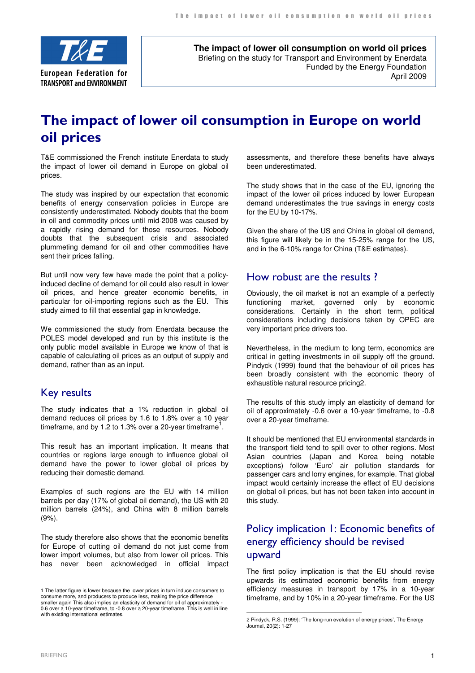

**The impact of lower oil consumption on world oil prices** Briefing on the study for Transport and Environment by Enerdata Funded by the Energy Foundation April 2009

# The impact of lower oil consumption in Europe on world oil prices

T&E commissioned the French institute Enerdata to study the impact of lower oil demand in Europe on global oil prices.

The study was inspired by our expectation that economic benefits of energy conservation policies in Europe are consistently underestimated. Nobody doubts that the boom in oil and commodity prices until mid-2008 was caused by a rapidly rising demand for those resources. Nobody doubts that the subsequent crisis and associated plummeting demand for oil and other commodities have sent their prices falling.

But until now very few have made the point that a policyinduced decline of demand for oil could also result in lower oil prices, and hence greater economic benefits, in particular for oil-importing regions such as the EU. This study aimed to fill that essential gap in knowledge.

We commissioned the study from Enerdata because the POLES model developed and run by this institute is the only public model available in Europe we know of that is capable of calculating oil prices as an output of supply and demand, rather than as an input.

#### Key results

The study indicates that a 1% reduction in global oil demand reduces oil prices by 1.6 to 1.8% over a 10 year timeframe, and by 1.2 to 1.3% over a 20-year timeframe<sup>1</sup>.

This result has an important implication. It means that countries or regions large enough to influence global oil demand have the power to lower global oil prices by reducing their domestic demand.

Examples of such regions are the EU with 14 million barrels per day (17% of global oil demand), the US with 20 million barrels (24%), and China with 8 million barrels (9%).

The study therefore also shows that the economic benefits for Europe of cutting oil demand do not just come from lower import volumes, but also from lower oil prices. This has never been acknowledged in official impact

assessments, and therefore these benefits have always been underestimated.

The study shows that in the case of the EU, ignoring the impact of the lower oil prices induced by lower European demand underestimates the true savings in energy costs for the EU by 10-17%.

Given the share of the US and China in global oil demand, this figure will likely be in the 15-25% range for the US, and in the 6-10% range for China (T&E estimates).

#### How robust are the results ?

Obviously, the oil market is not an example of a perfectly functioning market, governed only by economic considerations. Certainly in the short term, political considerations including decisions taken by OPEC are very important price drivers too.

Nevertheless, in the medium to long term, economics are critical in getting investments in oil supply off the ground. Pindyck (1999) found that the behaviour of oil prices has been broadly consistent with the economic theory of exhaustible natural resource pricing2.

The results of this study imply an elasticity of demand for oil of approximately -0.6 over a 10-year timeframe, to -0.8 over a 20-year timeframe.

It should be mentioned that EU environmental standards in the transport field tend to spill over to other regions. Most Asian countries (Japan and Korea being notable exceptions) follow 'Euro' air pollution standards for passenger cars and lorry engines, for example. That global impact would certainly increase the effect of EU decisions on global oil prices, but has not been taken into account in this study.

## Policy implication 1: Economic benefits of energy efficiency should be revised upward

The first policy implication is that the EU should revise upwards its estimated economic benefits from energy efficiency measures in transport by 17% in a 10-year timeframe, and by 10% in a 20-year timeframe. For the US

 $\overline{a}$ 

 $\overline{a}$ 

<sup>1</sup> The latter figure is lower because the lower prices in turn induce consumers to consume more, and producers to produce less, making the price difference smaller again This also implies an elasticity of demand for oil of approximately - 0.6 over a 10-year timeframe, to -0.8 over a 20-year timeframe. This is well in line with existing international estimates.

<sup>2</sup> Pindyck, R.S. (1999): 'The long-run evolution of energy prices', The Energy Journal, 20(2): 1-27